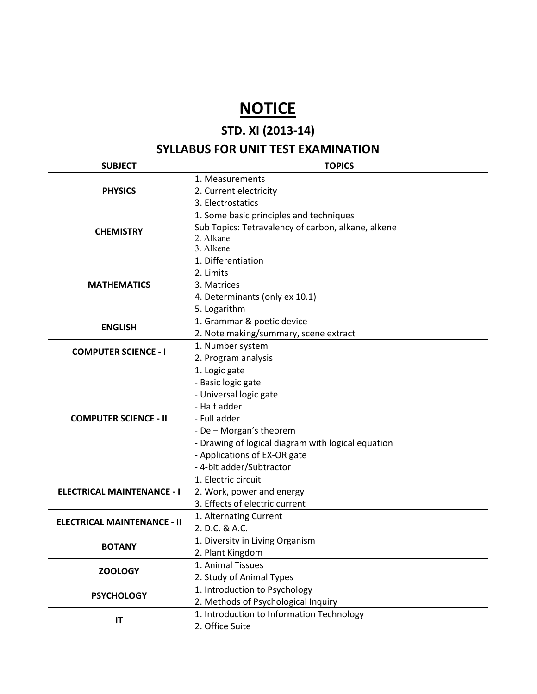## **NOTICE**

## STD. XI (2013-14)

## SYLLABUS FOR UNIT TEST EXAMINATION

| <b>SUBJECT</b>                     | <b>TOPICS</b>                                      |  |  |
|------------------------------------|----------------------------------------------------|--|--|
| <b>PHYSICS</b>                     | 1. Measurements                                    |  |  |
|                                    | 2. Current electricity                             |  |  |
|                                    | 3. Electrostatics                                  |  |  |
| <b>CHEMISTRY</b>                   | 1. Some basic principles and techniques            |  |  |
|                                    | Sub Topics: Tetravalency of carbon, alkane, alkene |  |  |
|                                    | 2. Alkane                                          |  |  |
|                                    | 3. Alkene                                          |  |  |
| <b>MATHEMATICS</b>                 | 1. Differentiation                                 |  |  |
|                                    | 2. Limits                                          |  |  |
|                                    | 3. Matrices                                        |  |  |
|                                    | 4. Determinants (only ex 10.1)                     |  |  |
|                                    | 5. Logarithm                                       |  |  |
| <b>ENGLISH</b>                     | 1. Grammar & poetic device                         |  |  |
|                                    | 2. Note making/summary, scene extract              |  |  |
| <b>COMPUTER SCIENCE - I</b>        | 1. Number system                                   |  |  |
|                                    | 2. Program analysis                                |  |  |
| <b>COMPUTER SCIENCE - II</b>       | 1. Logic gate                                      |  |  |
|                                    | - Basic logic gate                                 |  |  |
|                                    | - Universal logic gate                             |  |  |
|                                    | - Half adder                                       |  |  |
|                                    | - Full adder                                       |  |  |
|                                    | - De - Morgan's theorem                            |  |  |
|                                    | - Drawing of logical diagram with logical equation |  |  |
|                                    | - Applications of EX-OR gate                       |  |  |
|                                    | - 4-bit adder/Subtractor                           |  |  |
| <b>ELECTRICAL MAINTENANCE - I</b>  | 1. Electric circuit                                |  |  |
|                                    | 2. Work, power and energy                          |  |  |
|                                    | 3. Effects of electric current                     |  |  |
|                                    | 1. Alternating Current                             |  |  |
| <b>ELECTRICAL MAINTENANCE - II</b> | 2. D.C. & A.C.                                     |  |  |
| <b>BOTANY</b>                      | 1. Diversity in Living Organism                    |  |  |
|                                    | 2. Plant Kingdom                                   |  |  |
| <b>ZOOLOGY</b>                     | 1. Animal Tissues                                  |  |  |
|                                    | 2. Study of Animal Types                           |  |  |
| <b>PSYCHOLOGY</b>                  | 1. Introduction to Psychology                      |  |  |
|                                    | 2. Methods of Psychological Inquiry                |  |  |
| IT                                 | 1. Introduction to Information Technology          |  |  |
|                                    | 2. Office Suite                                    |  |  |